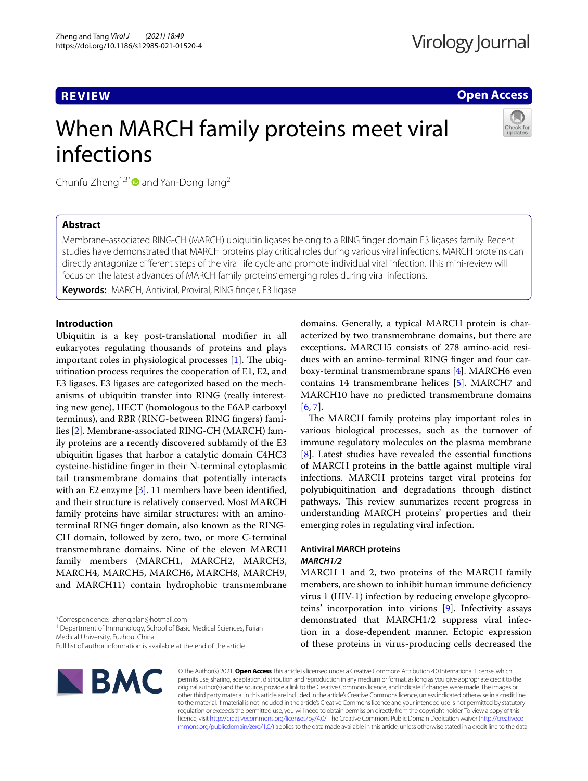**REVIEW**

**Open Access**

# When MARCH family proteins meet viral infections



Chunfu Zheng<sup>1,3\*</sup> and Yan-Dong Tang<sup>2</sup>

# **Abstract**

Membrane-associated RING-CH (MARCH) ubiquitin ligases belong to a RING fnger domain E3 ligases family. Recent studies have demonstrated that MARCH proteins play critical roles during various viral infections. MARCH proteins can directly antagonize diferent steps of the viral life cycle and promote individual viral infection. This mini-review will focus on the latest advances of MARCH family proteins' emerging roles during viral infections.

**Keywords:** MARCH, Antiviral, Proviral, RING fnger, E3 ligase

# **Introduction**

Ubiquitin is a key post-translational modifer in all eukaryotes regulating thousands of proteins and plays important roles in physiological processes  $[1]$  $[1]$ . The ubiquitination process requires the cooperation of E1, E2, and E3 ligases. E3 ligases are categorized based on the mechanisms of ubiquitin transfer into RING (really interesting new gene), HECT (homologous to the E6AP carboxyl terminus), and RBR (RING-between RING fngers) families [[2](#page-4-1)]. Membrane-associated RING-CH (MARCH) family proteins are a recently discovered subfamily of the E3 ubiquitin ligases that harbor a catalytic domain C4HC3 cysteine-histidine fnger in their N-terminal cytoplasmic tail transmembrane domains that potentially interacts with an E2 enzyme [\[3](#page-4-2)]. 11 members have been identifed, and their structure is relatively conserved. Most MARCH family proteins have similar structures: with an aminoterminal RING fnger domain, also known as the RING-CH domain, followed by zero, two, or more C-terminal transmembrane domains. Nine of the eleven MARCH family members (MARCH1, MARCH2, MARCH3, MARCH4, MARCH5, MARCH6, MARCH8, MARCH9, and MARCH11) contain hydrophobic transmembrane

<sup>1</sup> Department of Immunology, School of Basic Medical Sciences, Fujian Medical University, Fuzhou, China

Full list of author information is available at the end of the article



domains. Generally, a typical MARCH protein is characterized by two transmembrane domains, but there are exceptions. MARCH5 consists of 278 amino-acid residues with an amino-terminal RING fnger and four carboxy-terminal transmembrane spans [[4\]](#page-4-3). MARCH6 even contains 14 transmembrane helices [\[5](#page-4-4)]. MARCH7 and MARCH10 have no predicted transmembrane domains [[6,](#page-4-5) [7](#page-4-6)].

The MARCH family proteins play important roles in various biological processes, such as the turnover of immune regulatory molecules on the plasma membrane [[8\]](#page-4-7). Latest studies have revealed the essential functions of MARCH proteins in the battle against multiple viral infections. MARCH proteins target viral proteins for polyubiquitination and degradations through distinct pathways. This review summarizes recent progress in understanding MARCH proteins' properties and their emerging roles in regulating viral infection.

# **Antiviral MARCH proteins** *MARCH1/2*

MARCH 1 and 2, two proteins of the MARCH family members, are shown to inhibit human immune defciency virus 1 (HIV-1) infection by reducing envelope glycoproteins' incorporation into virions [\[9](#page-4-8)]. Infectivity assays demonstrated that MARCH1/2 suppress viral infection in a dose-dependent manner. Ectopic expression of these proteins in virus-producing cells decreased the

© The Author(s) 2021. **Open Access** This article is licensed under a Creative Commons Attribution 4.0 International License, which permits use, sharing, adaptation, distribution and reproduction in any medium or format, as long as you give appropriate credit to the original author(s) and the source, provide a link to the Creative Commons licence, and indicate if changes were made. The images or other third party material in this article are included in the article's Creative Commons licence, unless indicated otherwise in a credit line to the material. If material is not included in the article's Creative Commons licence and your intended use is not permitted by statutory regulation or exceeds the permitted use, you will need to obtain permission directly from the copyright holder. To view a copy of this licence, visit [http://creativecommons.org/licenses/by/4.0/.](http://creativecommons.org/licenses/by/4.0/) The Creative Commons Public Domain Dedication waiver ([http://creativeco](http://creativecommons.org/publicdomain/zero/1.0/) [mmons.org/publicdomain/zero/1.0/](http://creativecommons.org/publicdomain/zero/1.0/)) applies to the data made available in this article, unless otherwise stated in a credit line to the data.

<sup>\*</sup>Correspondence: zheng.alan@hotmail.com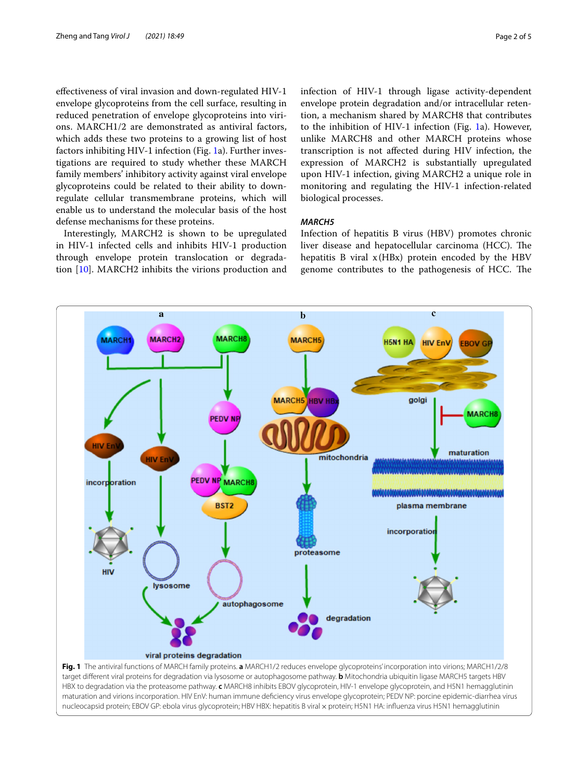efectiveness of viral invasion and down-regulated HIV-1 envelope glycoproteins from the cell surface, resulting in reduced penetration of envelope glycoproteins into virions. MARCH1/2 are demonstrated as antiviral factors, which adds these two proteins to a growing list of host factors inhibiting HIV-1 infection (Fig. [1a](#page-1-0)). Further investigations are required to study whether these MARCH family members' inhibitory activity against viral envelope glycoproteins could be related to their ability to downregulate cellular transmembrane proteins, which will enable us to understand the molecular basis of the host defense mechanisms for these proteins.

Interestingly, MARCH2 is shown to be upregulated in HIV-1 infected cells and inhibits HIV-1 production through envelope protein translocation or degradation [[10\]](#page-4-9). MARCH2 inhibits the virions production and infection of HIV-1 through ligase activity-dependent envelope protein degradation and/or intracellular retention, a mechanism shared by MARCH8 that contributes to the inhibition of HIV-1 infection (Fig. [1](#page-1-0)a). However, unlike MARCH8 and other MARCH proteins whose transcription is not afected during HIV infection, the expression of MARCH2 is substantially upregulated upon HIV-1 infection, giving MARCH2 a unique role in monitoring and regulating the HIV-1 infection-related biological processes.

# *MARCH5*

Infection of hepatitis B virus (HBV) promotes chronic liver disease and hepatocellular carcinoma (HCC). The hepatitis B viral  $x$ (HBx) protein encoded by the HBV genome contributes to the pathogenesis of HCC. The

<span id="page-1-0"></span>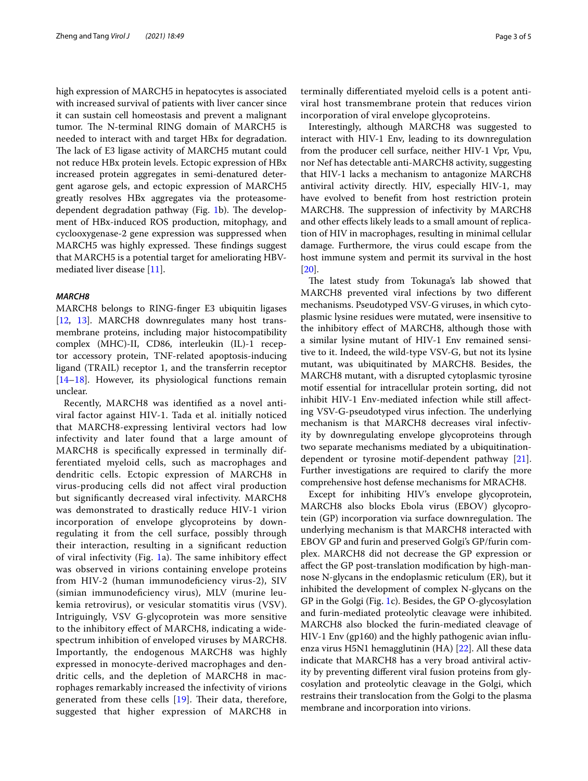high expression of MARCH5 in hepatocytes is associated with increased survival of patients with liver cancer since it can sustain cell homeostasis and prevent a malignant tumor. The N-terminal RING domain of MARCH5 is needed to interact with and target HBx for degradation. The lack of E3 ligase activity of MARCH5 mutant could not reduce HBx protein levels. Ectopic expression of HBx increased protein aggregates in semi-denatured detergent agarose gels, and ectopic expression of MARCH5 greatly resolves HBx aggregates via the proteasome-dependent degradation pathway (Fig. [1](#page-1-0)b). The development of HBx-induced ROS production, mitophagy, and cyclooxygenase-2 gene expression was suppressed when MARCH5 was highly expressed. These findings suggest that MARCH5 is a potential target for ameliorating HBVmediated liver disease [\[11](#page-4-10)].

# *MARCH8*

MARCH8 belongs to RING-fnger E3 ubiquitin ligases [[12,](#page-4-11) [13\]](#page-4-12). MARCH8 downregulates many host transmembrane proteins, including major histocompatibility complex (MHC)-II, CD86, interleukin (IL)-1 receptor accessory protein, TNF-related apoptosis-inducing ligand (TRAIL) receptor 1, and the transferrin receptor [[14–](#page-4-13)[18](#page-4-14)]. However, its physiological functions remain unclear.

Recently, MARCH8 was identifed as a novel antiviral factor against HIV-1. Tada et al. initially noticed that MARCH8-expressing lentiviral vectors had low infectivity and later found that a large amount of MARCH8 is specifcally expressed in terminally differentiated myeloid cells, such as macrophages and dendritic cells. Ectopic expression of MARCH8 in virus-producing cells did not afect viral production but signifcantly decreased viral infectivity. MARCH8 was demonstrated to drastically reduce HIV-1 virion incorporation of envelope glycoproteins by downregulating it from the cell surface, possibly through their interaction, resulting in a signifcant reduction of viral infectivity (Fig. [1a](#page-1-0)). The same inhibitory effect was observed in virions containing envelope proteins from HIV-2 (human immunodeficiency virus-2), SIV (simian immunodefciency virus), MLV (murine leukemia retrovirus), or vesicular stomatitis virus (VSV). Intriguingly, VSV G-glycoprotein was more sensitive to the inhibitory efect of MARCH8, indicating a widespectrum inhibition of enveloped viruses by MARCH8. Importantly, the endogenous MARCH8 was highly expressed in monocyte-derived macrophages and dendritic cells, and the depletion of MARCH8 in macrophages remarkably increased the infectivity of virions generated from these cells  $[19]$  $[19]$ . Their data, therefore, suggested that higher expression of MARCH8 in terminally diferentiated myeloid cells is a potent antiviral host transmembrane protein that reduces virion incorporation of viral envelope glycoproteins.

Interestingly, although MARCH8 was suggested to interact with HIV-1 Env, leading to its downregulation from the producer cell surface, neither HIV-1 Vpr, Vpu, nor Nef has detectable anti-MARCH8 activity, suggesting that HIV-1 lacks a mechanism to antagonize MARCH8 antiviral activity directly. HIV, especially HIV-1, may have evolved to beneft from host restriction protein MARCH8. The suppression of infectivity by MARCH8 and other efects likely leads to a small amount of replication of HIV in macrophages, resulting in minimal cellular damage. Furthermore, the virus could escape from the host immune system and permit its survival in the host [[20\]](#page-4-16).

The latest study from Tokunaga's lab showed that MARCH8 prevented viral infections by two diferent mechanisms. Pseudotyped VSV-G viruses, in which cytoplasmic lysine residues were mutated, were insensitive to the inhibitory efect of MARCH8, although those with a similar lysine mutant of HIV-1 Env remained sensitive to it. Indeed, the wild-type VSV-G, but not its lysine mutant, was ubiquitinated by MARCH8. Besides, the MARCH8 mutant, with a disrupted cytoplasmic tyrosine motif essential for intracellular protein sorting, did not inhibit HIV-1 Env-mediated infection while still afecting VSV-G-pseudotyped virus infection. The underlying mechanism is that MARCH8 decreases viral infectivity by downregulating envelope glycoproteins through two separate mechanisms mediated by a ubiquitinationdependent or tyrosine motif-dependent pathway [\[21](#page-4-17)]. Further investigations are required to clarify the more comprehensive host defense mechanisms for MRACH8.

Except for inhibiting HIV's envelope glycoprotein, MARCH8 also blocks Ebola virus (EBOV) glycoprotein (GP) incorporation via surface downregulation. The underlying mechanism is that MARCH8 interacted with EBOV GP and furin and preserved Golgi's GP/furin complex. MARCH8 did not decrease the GP expression or afect the GP post-translation modifcation by high-mannose N-glycans in the endoplasmic reticulum (ER), but it inhibited the development of complex N-glycans on the GP in the Golgi (Fig. [1c](#page-1-0)). Besides, the GP O-glycosylation and furin-mediated proteolytic cleavage were inhibited. MARCH8 also blocked the furin-mediated cleavage of HIV-1 Env (gp160) and the highly pathogenic avian infuenza virus H5N1 hemagglutinin (HA) [[22\]](#page-4-18). All these data indicate that MARCH8 has a very broad antiviral activity by preventing diferent viral fusion proteins from glycosylation and proteolytic cleavage in the Golgi, which restrains their translocation from the Golgi to the plasma membrane and incorporation into virions.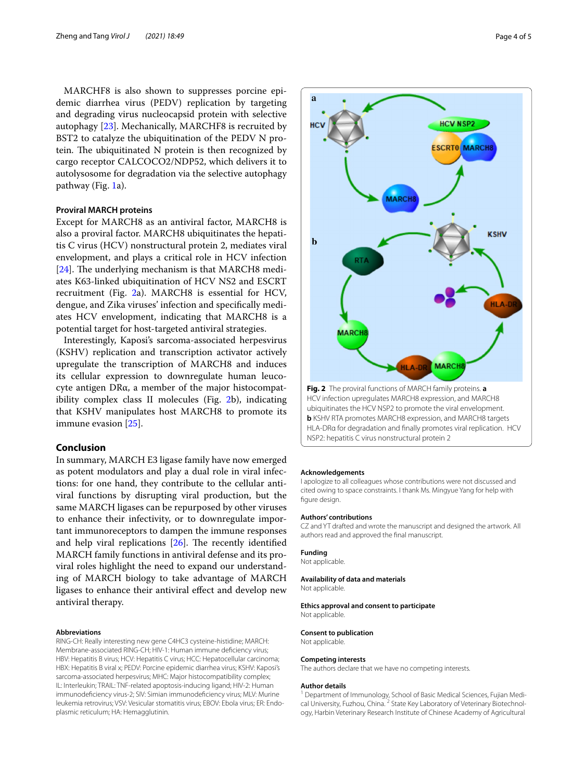MARCHF8 is also shown to suppresses porcine epidemic diarrhea virus (PEDV) replication by targeting and degrading virus nucleocapsid protein with selective autophagy [\[23\]](#page-4-19). Mechanically, MARCHF8 is recruited by BST2 to catalyze the ubiquitination of the PEDV N protein. The ubiquitinated  $N$  protein is then recognized by cargo receptor CALCOCO2/NDP52, which delivers it to autolysosome for degradation via the selective autophagy pathway (Fig. [1](#page-1-0)a).

# **Proviral MARCH proteins**

Except for MARCH8 as an antiviral factor, MARCH8 is also a proviral factor. MARCH8 ubiquitinates the hepatitis C virus (HCV) nonstructural protein 2, mediates viral envelopment, and plays a critical role in HCV infection [ $24$ ]. The underlying mechanism is that MARCH8 mediates K63-linked ubiquitination of HCV NS2 and ESCRT recruitment (Fig. [2](#page-3-0)a). MARCH8 is essential for HCV, dengue, and Zika viruses' infection and specifcally mediates HCV envelopment, indicating that MARCH8 is a potential target for host-targeted antiviral strategies.

Interestingly, Kaposi's sarcoma-associated herpesvirus (KSHV) replication and transcription activator actively upregulate the transcription of MARCH8 and induces its cellular expression to downregulate human leucocyte antigen DRα, a member of the major histocompatibility complex class II molecules (Fig. [2](#page-3-0)b), indicating that KSHV manipulates host MARCH8 to promote its immune evasion [[25](#page-4-21)].

# **Conclusion**

In summary, MARCH E3 ligase family have now emerged as potent modulators and play a dual role in viral infections: for one hand, they contribute to the cellular antiviral functions by disrupting viral production, but the same MARCH ligases can be repurposed by other viruses to enhance their infectivity, or to downregulate important immunoreceptors to dampen the immune responses and help viral replications  $[26]$  $[26]$  $[26]$ . The recently identified MARCH family functions in antiviral defense and its proviral roles highlight the need to expand our understanding of MARCH biology to take advantage of MARCH ligases to enhance their antiviral efect and develop new antiviral therapy.

#### **Abbreviations**

RING-CH: Really interesting new gene C4HC3 cysteine-histidine; MARCH: Membrane-associated RING-CH; HIV-1: Human immune defciency virus; HBV: Hepatitis B virus; HCV: Hepatitis C virus; HCC: Hepatocellular carcinoma; HBX: Hepatitis B viral x; PEDV: Porcine epidemic diarrhea virus; KSHV: Kaposi's sarcoma-associated herpesvirus; MHC: Major histocompatibility complex; IL: Interleukin; TRAIL: TNF-related apoptosis-inducing ligand; HIV-2: Human immunodefciency virus-2; SIV: Simian immunodefciency virus; MLV: Murine leukemia retrovirus; VSV: Vesicular stomatitis virus; EBOV: Ebola virus; ER: Endoplasmic reticulum; HA: Hemagglutinin.



<span id="page-3-0"></span>HCV infection upregulates MARCH8 expression, and MARCH8 ubiquitinates the HCV NSP2 to promote the viral envelopment. **b** KSHV RTA promotes MARCH8 expression, and MARCH8 targets HLA-DRα for degradation and fnally promotes viral replication. HCV NSP2: hepatitis C virus nonstructural protein 2

#### **Acknowledgements**

I apologize to all colleagues whose contributions were not discussed and cited owing to space constraints. I thank Ms. Mingyue Yang for help with figure design.

#### **Authors' contributions**

CZ and YT drafted and wrote the manuscript and designed the artwork. All authors read and approved the fnal manuscript.

#### **Funding**

Not applicable.

#### **Availability of data and materials**

Not applicable.

#### **Ethics approval and consent to participate** Not applicable.

**Consent to publication**

Not applicable.

#### **Competing interests**

The authors declare that we have no competing interests.

#### **Author details**

<sup>1</sup> Department of Immunology, School of Basic Medical Sciences, Fujian Medical University, Fuzhou, China.<sup>2</sup> State Key Laboratory of Veterinary Biotechnology, Harbin Veterinary Research Institute of Chinese Academy of Agricultural